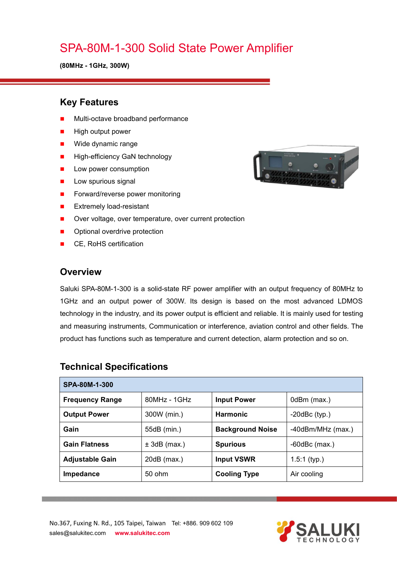# SPA-80M-1-300 Solid State Power Amplifier

**(80MHz - 1GHz, 300W)**

### **Key Features**

- Multi-octave broadband performance
- High output power
- **Nide dynamic range**
- **High-efficiency GaN technology**
- **Low power consumption**
- $\blacksquare$  Low spurious signal
- Forward/reverse power monitoring
- **EXtremely load-resistant**
- Over voltage, over temperature, over current protection
- **Department** Optional overdrive protection
- CE, RoHS certification

#### **Overview**

Saluki SPA-80M-1-300 is a solid-state RF power amplifier with an output frequency of 80MHz to 1GHz and an output power of 300W. Its design is based on the most advanced LDMOS technology in the industry, and its power output is efficient and reliable. It is mainly used for testing and measuring instruments, Communication or interference, aviation control and other fields. The product has functions such as temperature and current detection, alarm protection and so on.

| SPA-80M-1-300          |                |                         |                     |  |
|------------------------|----------------|-------------------------|---------------------|--|
| <b>Frequency Range</b> | $80MHz - 1GHz$ | <b>Input Power</b>      | 0dBm (max.)         |  |
| <b>Output Power</b>    | 300W (min.)    | <b>Harmonic</b>         | $-20$ dBc $(typ.)$  |  |
| Gain                   | 55dB (min.)    | <b>Background Noise</b> | -40dBm/MHz (max.)   |  |
| <b>Gain Flatness</b>   | $± 3dB$ (max.) | <b>Spurious</b>         | $-60$ d $Bc$ (max.) |  |
| <b>Adjustable Gain</b> | $20dB$ (max.)  | <b>Input VSWR</b>       | $1.5:1$ (typ.)      |  |
| Impedance              | 50 ohm         | <b>Cooling Type</b>     | Air cooling         |  |

### **Technical Specifications**